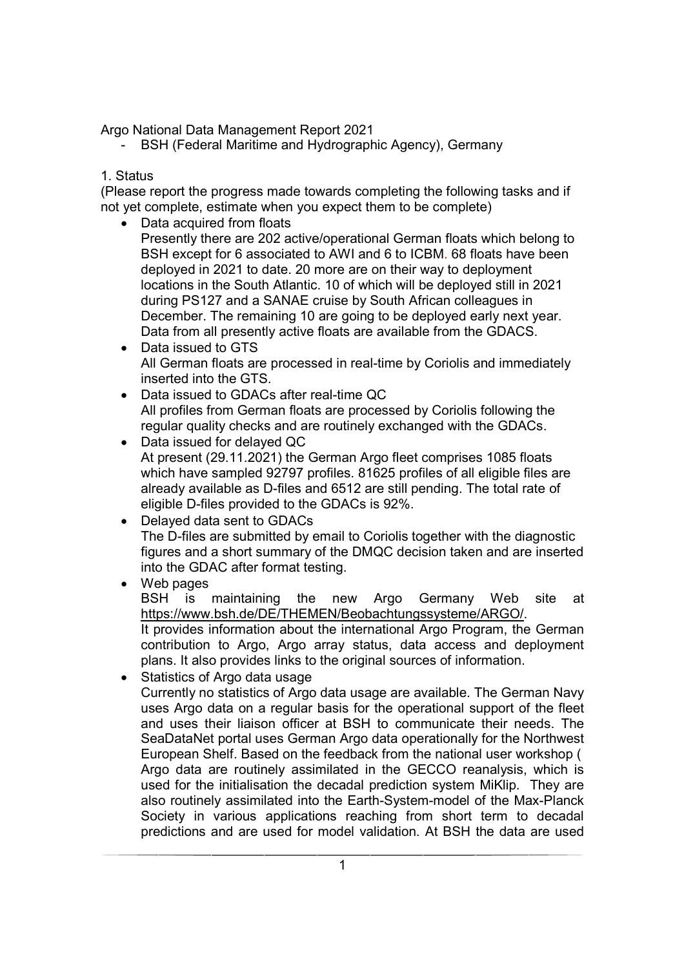Argo National Data Management Report 2021

- BSH (Federal Maritime and Hydrographic Agency), Germany

# 1. Status

(Please report the progress made towards completing the following tasks and if not yet complete, estimate when you expect them to be complete)

- Data acquired from floats Presently there are 202 active/operational German floats which belong to BSH except for 6 associated to AWI and 6 to ICBM. 68 floats have been deployed in 2021 to date. 20 more are on their way to deployment locations in the South Atlantic. 10 of which will be deployed still in 2021 during PS127 and a SANAE cruise by South African colleagues in December. The remaining 10 are going to be deployed early next year. Data from all presently active floats are available from the GDACS.
- Data issued to GTS All German floats are processed in real-time by Coriolis and immediately inserted into the GTS.
- Data issued to GDACs after real-time QC All profiles from German floats are processed by Coriolis following the regular quality checks and are routinely exchanged with the GDACs.
- Data issued for delayed QC At present (29.11.2021) the German Argo fleet comprises 1085 floats which have sampled 92797 profiles. 81625 profiles of all eligible files are already available as D-files and 6512 are still pending. The total rate of eligible D-files provided to the GDACs is 92%.
- Delayed data sent to GDACs The D-files are submitted by email to Coriolis together with the diagnostic figures and a short summary of the DMQC decision taken and are inserted into the GDAC after format testing.
- Web pages BSH is maintaining the new Argo Germany Web site at https://www.bsh.de/DE/THEMEN/Beobachtungssysteme/ARGO/. It provides information about the international Argo Program, the German contribution to Argo, Argo array status, data access and deployment plans. It also provides links to the original sources of information.
- Statistics of Argo data usage

Currently no statistics of Argo data usage are available. The German Navy uses Argo data on a regular basis for the operational support of the fleet and uses their liaison officer at BSH to communicate their needs. The SeaDataNet portal uses German Argo data operationally for the Northwest European Shelf. Based on the feedback from the national user workshop ( Argo data are routinely assimilated in the GECCO reanalysis, which is used for the initialisation the decadal prediction system MiKlip. They are also routinely assimilated into the Earth-System-model of the Max-Planck Society in various applications reaching from short term to decadal predictions and are used for model validation. At BSH the data are used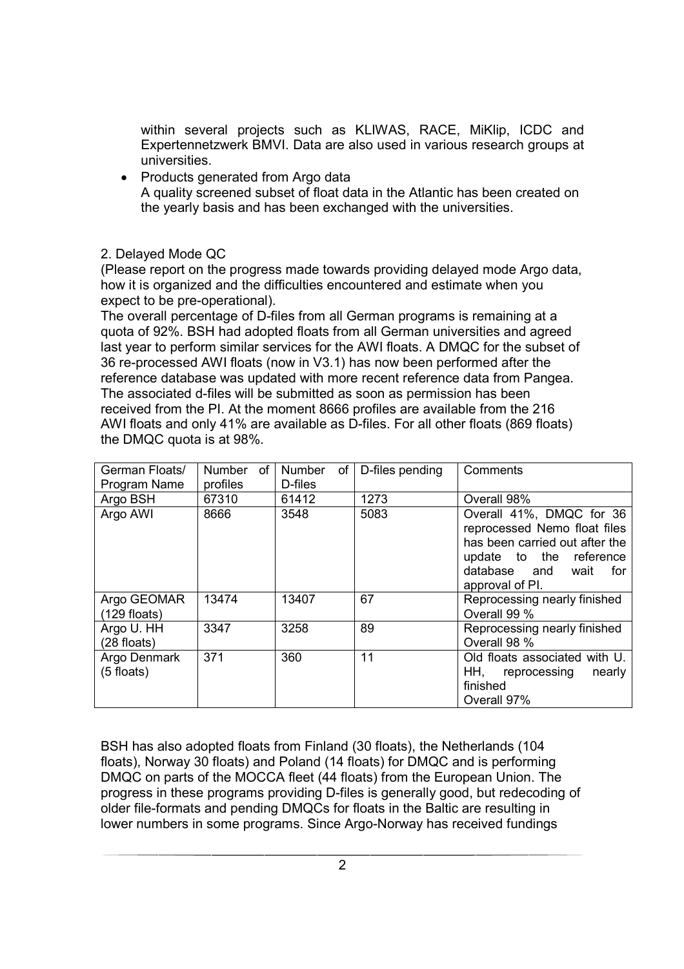within several projects such as KLIWAS, RACE, MiKlip, ICDC and Expertennetzwerk BMVI. Data are also used in various research groups at universities.

• Products generated from Argo data A quality screened subset of float data in the Atlantic has been created on the yearly basis and has been exchanged with the universities.

2. Delayed Mode QC

(Please report on the progress made towards providing delayed mode Argo data, how it is organized and the difficulties encountered and estimate when you expect to be pre-operational).

The overall percentage of D-files from all German programs is remaining at a quota of 92%. BSH had adopted floats from all German universities and agreed last year to perform similar services for the AWI floats. A DMQC for the subset of 36 re-processed AWI floats (now in V3.1) has now been performed after the reference database was updated with more recent reference data from Pangea. The associated d-files will be submitted as soon as permission has been received from the PI. At the moment 8666 profiles are available from the 216 AWI floats and only 41% are available as D-files. For all other floats (869 floats) the DMQC quota is at 98%.

| German Floats/<br>Program Name | Number<br>of<br>profiles | Number<br>of<br>D-files | D-files pending | Comments                                                                                                                                                                |
|--------------------------------|--------------------------|-------------------------|-----------------|-------------------------------------------------------------------------------------------------------------------------------------------------------------------------|
| Argo BSH                       | 67310                    | 61412                   | 1273            | Overall 98%                                                                                                                                                             |
| Argo AWI                       | 8666                     | 3548                    | 5083            | Overall 41%, DMQC for 36<br>reprocessed Nemo float files<br>has been carried out after the<br>update to the reference<br>database and<br>wait<br>for<br>approval of PI. |
| Argo GEOMAR<br>$(129$ floats)  | 13474                    | 13407                   | 67              | Reprocessing nearly finished<br>Overall 99 %                                                                                                                            |
| Argo U. HH<br>$(28$ floats)    | 3347                     | 3258                    | 89              | Reprocessing nearly finished<br>Overall 98 %                                                                                                                            |
| Argo Denmark<br>(5 floats)     | 371                      | 360                     | 11              | Old floats associated with U.<br>HH,<br>reprocessing<br>nearly<br>finished<br>Overall 97%                                                                               |

BSH has also adopted floats from Finland (30 floats), the Netherlands (104 floats), Norway 30 floats) and Poland (14 floats) for DMQC and is performing DMQC on parts of the MOCCA fleet (44 floats) from the European Union. The progress in these programs providing D-files is generally good, but redecoding of older file-formats and pending DMQCs for floats in the Baltic are resulting in lower numbers in some programs. Since Argo-Norway has received fundings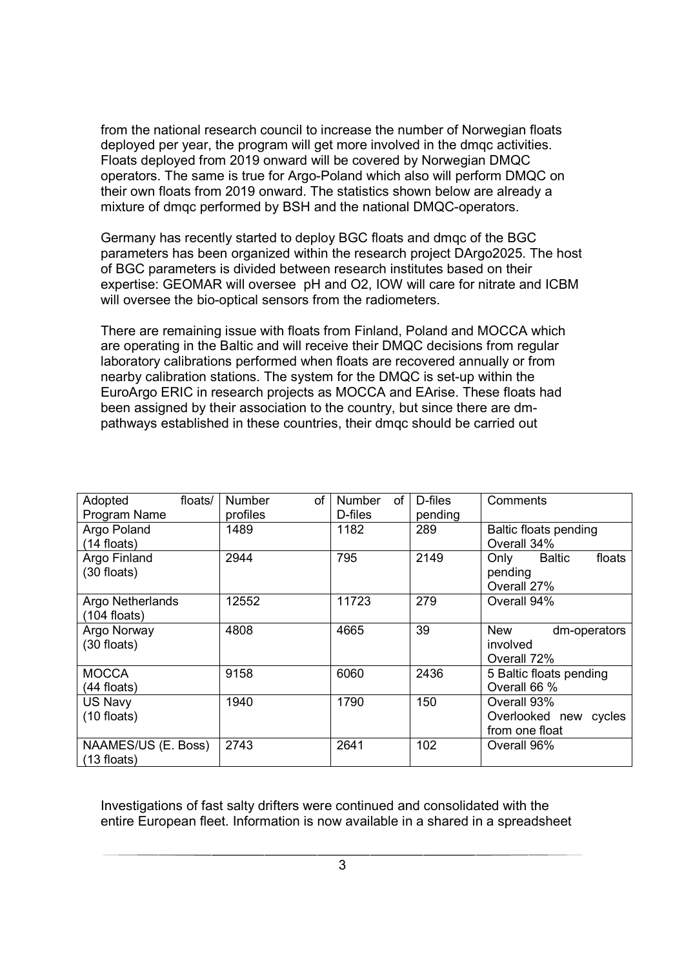from the national research council to increase the number of Norwegian floats deployed per year, the program will get more involved in the dmqc activities. Floats deployed from 2019 onward will be covered by Norwegian DMQC operators. The same is true for Argo-Poland which also will perform DMQC on their own floats from 2019 onward. The statistics shown below are already a mixture of dmqc performed by BSH and the national DMQC-operators.

Germany has recently started to deploy BGC floats and dmqc of the BGC parameters has been organized within the research project DArgo2025. The host of BGC parameters is divided between research institutes based on their expertise: GEOMAR will oversee pH and O2, IOW will care for nitrate and ICBM will oversee the bio-optical sensors from the radiometers.

There are remaining issue with floats from Finland, Poland and MOCCA which are operating in the Baltic and will receive their DMQC decisions from regular laboratory calibrations performed when floats are recovered annually or from nearby calibration stations. The system for the DMQC is set-up within the EuroArgo ERIC in research projects as MOCCA and EArise. These floats had been assigned by their association to the country, but since there are dmpathways established in these countries, their dmqc should be carried out

| floats/<br>Adopted<br>Program Name   | <b>Number</b><br>of<br>profiles | <b>Number</b><br>of<br>D-files | D-files<br>pending | Comments                                                  |
|--------------------------------------|---------------------------------|--------------------------------|--------------------|-----------------------------------------------------------|
| Argo Poland<br>$(14$ floats)         | 1489                            | 1182                           | 289                | Baltic floats pending<br>Overall 34%                      |
| Argo Finland<br>(30 floats)          | 2944                            | 795                            | 2149               | <b>Baltic</b><br>floats<br>Only<br>pending<br>Overall 27% |
| Argo Netherlands<br>$(104$ floats)   | 12552                           | 11723                          | 279                | Overall 94%                                               |
| Argo Norway<br>(30 floats)           | 4808                            | 4665                           | 39                 | <b>New</b><br>dm-operators<br>involved<br>Overall 72%     |
| <b>MOCCA</b><br>$(44$ floats)        | 9158                            | 6060                           | 2436               | 5 Baltic floats pending<br>Overall 66 %                   |
| US Navy<br>$(10$ floats)             | 1940                            | 1790                           | 150                | Overall 93%<br>Overlooked new cycles<br>from one float    |
| NAAMES/US (E. Boss)<br>$(13$ floats) | 2743                            | 2641                           | 102                | Overall 96%                                               |

Investigations of fast salty drifters were continued and consolidated with the entire European fleet. Information is now available in a shared in a spreadsheet